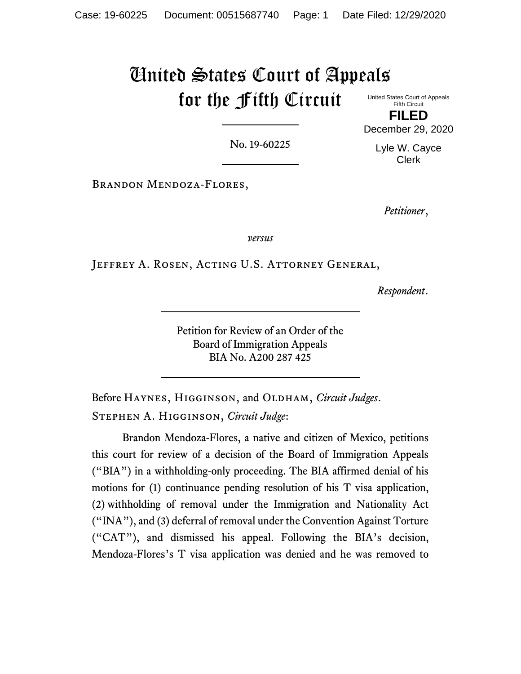# United States Court of Appeals for the Fifth Circuit

United States Court of Appeals Fifth Circuit **FILED**

No. 19-60225

Lyle W. Cayce Clerk

December 29, 2020

Brandon Mendoza-Flores,

*Petitioner*,

*versus*

Jeffrey A. Rosen, Acting U.S. Attorney General,

*Respondent*.

Petition for Review of an Order of the Board of Immigration Appeals BIA No. A200 287 425

Before HAYNES, HIGGINSON, and OLDHAM, *Circuit Judges*. Stephen A. Higginson, *Circuit Judge*:

Brandon Mendoza-Flores, a native and citizen of Mexico, petitions this court for review of a decision of the Board of Immigration Appeals ("BIA") in a withholding-only proceeding. The BIA affirmed denial of his motions for (1) continuance pending resolution of his T visa application, (2) withholding of removal under the Immigration and Nationality Act ("INA"), and (3) deferral of removal under the Convention Against Torture ("CAT"), and dismissed his appeal. Following the BIA's decision, Mendoza-Flores's T visa application was denied and he was removed to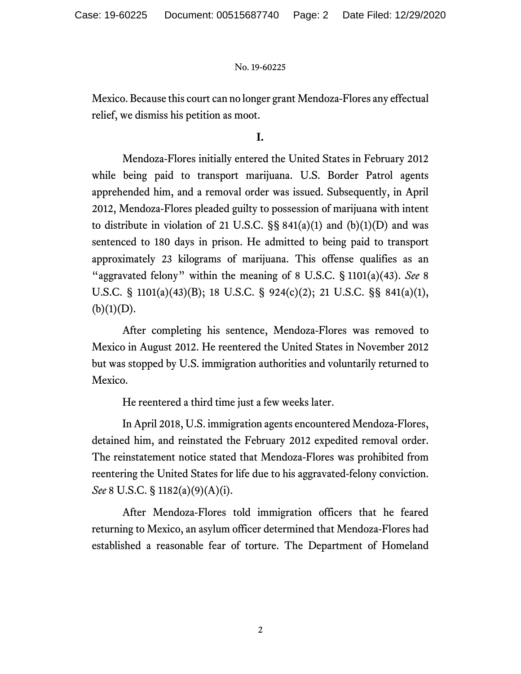Mexico. Because this court can no longer grant Mendoza-Flores any effectual relief, we dismiss his petition as moot.

## **I.**

Mendoza-Flores initially entered the United States in February 2012 while being paid to transport marijuana. U.S. Border Patrol agents apprehended him, and a removal order was issued. Subsequently, in April 2012, Mendoza-Flores pleaded guilty to possession of marijuana with intent to distribute in violation of 21 U.S.C.  $\S$ § 841(a)(1) and (b)(1)(D) and was sentenced to 180 days in prison. He admitted to being paid to transport approximately 23 kilograms of marijuana. This offense qualifies as an "aggravated felony" within the meaning of 8 U.S.C. § 1101(a)(43). *See* 8 U.S.C. § 1101(a)(43)(B); 18 U.S.C. § 924(c)(2); 21 U.S.C. §§ 841(a)(1),  $(b)(1)(D)$ .

After completing his sentence, Mendoza-Flores was removed to Mexico in August 2012. He reentered the United States in November 2012 but was stopped by U.S. immigration authorities and voluntarily returned to Mexico.

He reentered a third time just a few weeks later.

In April 2018, U.S. immigration agents encountered Mendoza-Flores, detained him, and reinstated the February 2012 expedited removal order. The reinstatement notice stated that Mendoza-Flores was prohibited from reentering the United States for life due to his aggravated-felony conviction. *See* 8 U.S.C. § 1182(a)(9)(A)(i).

After Mendoza-Flores told immigration officers that he feared returning to Mexico, an asylum officer determined that Mendoza-Flores had established a reasonable fear of torture. The Department of Homeland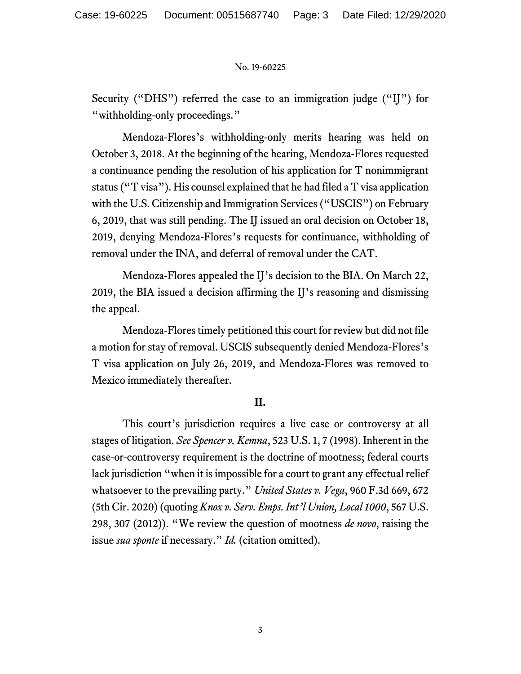Security ("DHS") referred the case to an immigration judge ("II") for "withholding-only proceedings."

Mendoza-Flores's withholding-only merits hearing was held on October 3, 2018. At the beginning of the hearing, Mendoza-Flores requested a continuance pending the resolution of his application for T nonimmigrant status ("T visa"). His counsel explained that he had filed a T visa application with the U.S. Citizenship and Immigration Services ("USCIS") on February 6, 2019, that was still pending. The IJ issued an oral decision on October 18, 2019, denying Mendoza-Flores's requests for continuance, withholding of removal under the INA, and deferral of removal under the CAT.

Mendoza-Flores appealed the IJ's decision to the BIA. On March 22, 2019, the BIA issued a decision affirming the IJ's reasoning and dismissing the appeal.

Mendoza-Flores timely petitioned this court for review but did not file a motion for stay of removal. USCIS subsequently denied Mendoza-Flores's T visa application on July 26, 2019, and Mendoza-Flores was removed to Mexico immediately thereafter.

## **II.**

This court's jurisdiction requires a live case or controversy at all stages of litigation. *See Spencer v. Kemna*, 523 U.S. 1, 7 (1998). Inherent in the case-or-controversy requirement is the doctrine of mootness; federal courts lack jurisdiction "when it is impossible for a court to grant any effectual relief whatsoever to the prevailing party." *United States v. Vega*, 960 F.3d 669, 672 (5th Cir. 2020) (quoting *Knox v. Serv. Emps. Int'l Union, Local 1000*, 567 U.S. 298, 307 (2012)). "We review the question of mootness *de novo*, raising the issue *sua sponte* if necessary." *Id.* (citation omitted).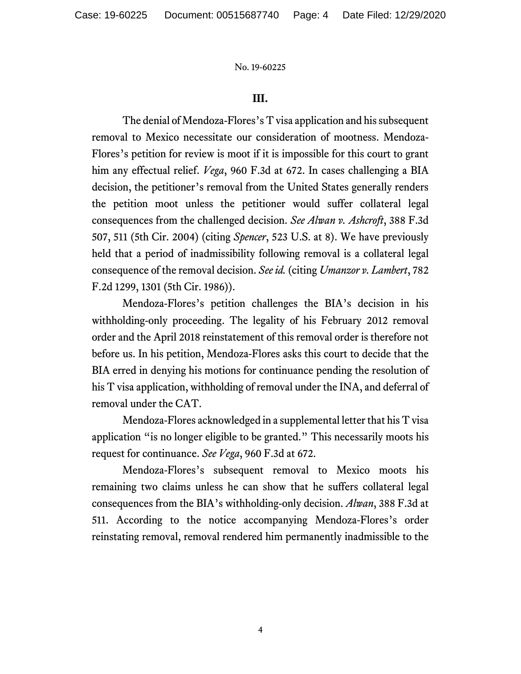## **III.**

The denial of Mendoza-Flores's T visa application and his subsequent removal to Mexico necessitate our consideration of mootness. Mendoza-Flores's petition for review is moot if it is impossible for this court to grant him any effectual relief. *Vega*, 960 F.3d at 672. In cases challenging a BIA decision, the petitioner's removal from the United States generally renders the petition moot unless the petitioner would suffer collateral legal consequences from the challenged decision. *See Alwan v. Ashcroft*, 388 F.3d 507, 511 (5th Cir. 2004) (citing *Spencer*, 523 U.S. at 8). We have previously held that a period of inadmissibility following removal is a collateral legal consequence of the removal decision. *See id.* (citing *Umanzor v. Lambert*, 782 F.2d 1299, 1301 (5th Cir. 1986)).

Mendoza-Flores's petition challenges the BIA's decision in his withholding-only proceeding. The legality of his February 2012 removal order and the April 2018 reinstatement of this removal order is therefore not before us. In his petition, Mendoza-Flores asks this court to decide that the BIA erred in denying his motions for continuance pending the resolution of his T visa application, withholding of removal under the INA, and deferral of removal under the CAT.

Mendoza-Flores acknowledged in a supplemental letter that his T visa application "is no longer eligible to be granted." This necessarily moots his request for continuance. *See Vega*, 960 F.3d at 672.

Mendoza-Flores's subsequent removal to Mexico moots his remaining two claims unless he can show that he suffers collateral legal consequences from the BIA's withholding-only decision. *Alwan*, 388 F.3d at 511. According to the notice accompanying Mendoza-Flores's order reinstating removal, removal rendered him permanently inadmissible to the